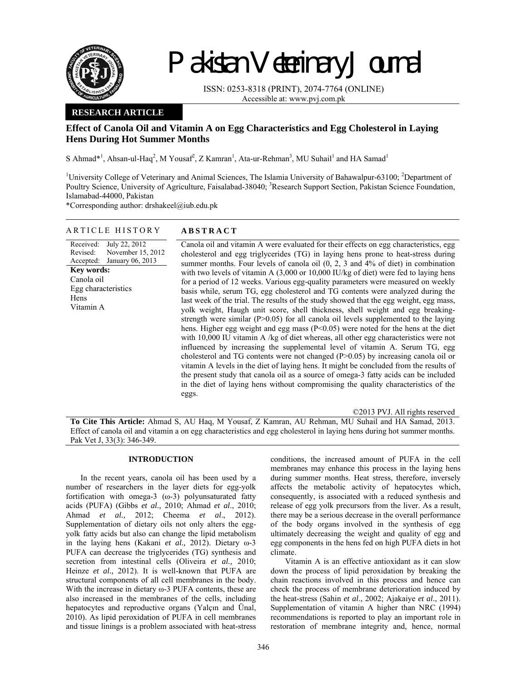

Pakistan Veterinary Journal

ISSN: 0253-8318 (PRINT), 2074-7764 (ONLINE) Accessible at: www.pvj.com.pk

# **RESEARCH ARTICLE**

# **Effect of Canola Oil and Vitamin A on Egg Characteristics and Egg Cholesterol in Laying Hens During Hot Summer Months**

S Ahmad\*<sup>1</sup>, Ahsan-ul-Haq<sup>2</sup>, M Yousaf<sup>2</sup>, Z Kamran<sup>1</sup>, Ata-ur-Rehman<sup>3</sup>, MU Suhail<sup>1</sup> and HA Samad<sup>1</sup>

<sup>1</sup>University College of Veterinary and Animal Sciences, The Islamia University of Bahawalpur-63100; <sup>2</sup>Department of Poultry Science, University of Agriculture, Faisalabad-38040; <sup>3</sup>Research Support Section, Pakistan Science Foundation, Islamabad-44000, Pakistan

\*Corresponding author: drshakeel@iub.edu.pk

## ARTICLE HISTORY **ABSTRACT**

Received: Revised: Accepted: July 22, 2012 November 15, 2012 January 06, 2013 **Key words:**  Canola oil Egg characteristics Hens Vitamin A

Canola oil and vitamin A were evaluated for their effects on egg characteristics, egg cholesterol and egg triglycerides (TG) in laying hens prone to heat-stress during summer months. Four levels of canola oil (0, 2, 3 and 4% of diet) in combination with two levels of vitamin A (3,000 or 10,000 IU/kg of diet) were fed to laying hens for a period of 12 weeks. Various egg-quality parameters were measured on weekly basis while, serum TG, egg cholesterol and TG contents were analyzed during the last week of the trial. The results of the study showed that the egg weight, egg mass, yolk weight, Haugh unit score, shell thickness, shell weight and egg breakingstrength were similar  $(P>0.05)$  for all canola oil levels supplemented to the laying hens. Higher egg weight and egg mass (P<0.05) were noted for the hens at the diet with 10,000 IU vitamin A /kg of diet whereas, all other egg characteristics were not influenced by increasing the supplemental level of vitamin A. Serum TG, egg cholesterol and TG contents were not changed (P>0.05) by increasing canola oil or vitamin A levels in the diet of laying hens. It might be concluded from the results of the present study that canola oil as a source of omega-3 fatty acids can be included in the diet of laying hens without compromising the quality characteristics of the eggs.

©2013 PVJ. All rights reserved **To Cite This Article:** Ahmad S, AU Haq, M Yousaf, Z Kamran, AU Rehman, MU Suhail and HA Samad, 2013. Effect of canola oil and vitamin a on egg characteristics and egg cholesterol in laying hens during hot summer months. Pak Vet J, 33(3): 346-349.

## **INTRODUCTION**

In the recent years, canola oil has been used by a number of researchers in the layer diets for egg-yolk fortification with omega-3 (ω-3) polyunsaturated fatty acids (PUFA) (Gibbs *et al.,* 2010; Ahmad *et al*., 2010; Ahmad *et al.,* 2012; Cheema *et al*., 2012). Supplementation of dietary oils not only alters the eggyolk fatty acids but also can change the lipid metabolism in the laying hens (Kakani *et al.,* 2012). Dietary ω-3 PUFA can decrease the triglycerides (TG) synthesis and secretion from intestinal cells (Oliveira *et al.,* 2010; Heinze *et al.,* 2012). It is well-known that PUFA are structural components of all cell membranes in the body. With the increase in dietary ω-3 PUFA contents, these are also increased in the membranes of the cells, including hepatocytes and reproductive organs (Yalçın and Ünal, 2010). As lipid peroxidation of PUFA in cell membranes and tissue linings is a problem associated with heat-stress

conditions, the increased amount of PUFA in the cell membranes may enhance this process in the laying hens during summer months. Heat stress, therefore, inversely affects the metabolic activity of hepatocytes which, consequently, is associated with a reduced synthesis and release of egg yolk precursors from the liver. As a result, there may be a serious decrease in the overall performance of the body organs involved in the synthesis of egg ultimately decreasing the weight and quality of egg and egg components in the hens fed on high PUFA diets in hot climate.

Vitamin A is an effective antioxidant as it can slow down the process of lipid peroxidation by breaking the chain reactions involved in this process and hence can check the process of membrane deterioration induced by the heat-stress (Sahin *et al*., 2002; Ajakaiye *et al*., 2011). Supplementation of vitamin A higher than NRC (1994) recommendations is reported to play an important role in restoration of membrane integrity and, hence, normal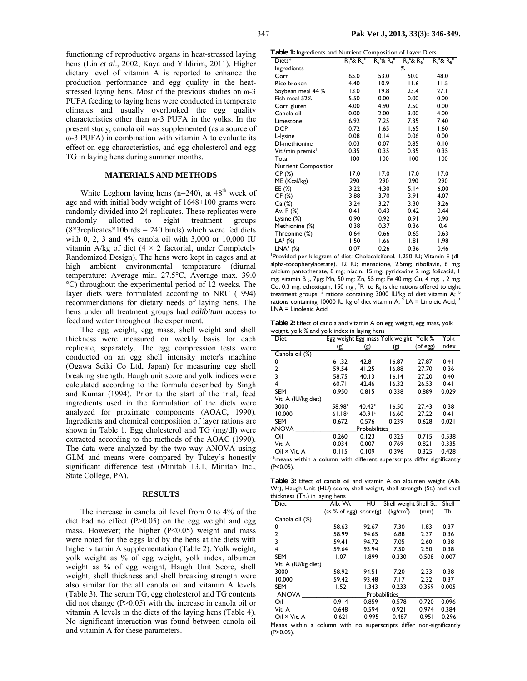functioning of reproductive organs in heat-stressed laying hens (Lin *et al*., 2002; Kaya and Yildirim, 2011). Higher dietary level of vitamin A is reported to enhance the production performance and egg quality in the heatstressed laying hens. Most of the previous studies on ω-3 PUFA feeding to laying hens were conducted in temperate climates and usually overlooked the egg quality characteristics other than ω-3 PUFA in the yolks. In the present study, canola oil was supplemented (as a source of ω-3 PUFA) in combination with vitamin A to evaluate its effect on egg characteristics, and egg cholesterol and egg TG in laying hens during summer months.

## **MATERIALS AND METHODS**

White Leghorn laying hens ( $n=240$ ), at  $48<sup>th</sup>$  week of age and with initial body weight of 1648±100 grams were randomly divided into 24 replicates. These replicates were randomly allotted to eight treatment groups  $(8*3 \text{replicates}*10 \text{birds} = 240 \text{ birds})$  which were fed diets with 0, 2, 3 and 4% canola oil with 3,000 or 10,000 IU vitamin A/kg of diet  $(4 \times 2$  factorial, under Completely Randomized Design). The hens were kept in cages and at high ambient environmental temperature (diurnal temperature: Average min. 27.5°C, Average max. 39.0 °C) throughout the experimental period of 12 weeks. The layer diets were formulated according to NRC (1994) recommendations for dietary needs of laying hens. The hens under all treatment groups had *adlibitum* access to feed and water throughout the experiment.

The egg weight, egg mass, shell weight and shell thickness were measured on weekly basis for each replicate, separately. The egg compression tests were conducted on an egg shell intensity meter's machine (Ogawa Seiki Co Ltd, Japan) for measuring egg shell breaking strength. Haugh unit score and yolk indices were calculated according to the formula described by Singh and Kumar (1994). Prior to the start of the trial, feed ingredients used in the formulation of the diets were analyzed for proximate components (AOAC, 1990). Ingredients and chemical composition of layer rations are shown in Table 1. Egg cholesterol and TG (mg/dl) were extracted according to the methods of the AOAC (1990). The data were analyzed by the two-way ANOVA using GLM and means were compared by Tukey's honestly significant difference test (Minitab 13.1, Minitab Inc., State College, PA).

### **RESULTS**

The increase in canola oil level from 0 to 4% of the diet had no effect  $(P>0.05)$  on the egg weight and egg mass. However; the higher  $(P<0.05)$  weight and mass were noted for the eggs laid by the hens at the diets with higher vitamin A supplementation (Table 2). Yolk weight, yolk weight as % of egg weight, yolk index, albumen weight as % of egg weight, Haugh Unit Score, shell weight, shell thickness and shell breaking strength were also similar for the all canola oil and vitamin A levels (Table 3). The serum TG, egg cholesterol and TG contents did not change (P>0.05) with the increase in canola oil or vitamin A levels in the diets of the laying hens (Table 4). No significant interaction was found between canola oil and vitamin A for these parameters.

**Table 1:** Ingredients and Nutrient Composition of Layer Diets

| <b>Table 1: Ingredients and inutrient Composition of Layer Diets</b>     |                      |                      |                   |                      |  |
|--------------------------------------------------------------------------|----------------------|----------------------|-------------------|----------------------|--|
| Diets*                                                                   | $R_1^{\ a}R_2^{\ b}$ | $R_3^{\ a}R_4^{\ b}$ | $R_5^a$ & $R_6^b$ | $R_7^{\ a}R_8^{\ b}$ |  |
| Ingredients                                                              |                      |                      | ℅                 |                      |  |
| Corn                                                                     | 65.0                 | 53.0                 | 50.0              | 48.0                 |  |
| Rice broken                                                              | 4.40                 | 10.9                 | 11.6              | 11.5                 |  |
| Soybean meal 44 %                                                        | 13.0                 | 19.8                 | 23.4              | 27.I                 |  |
| Fish meal 52%                                                            | 5.50                 | 0.00                 | 0.00              | 0.00                 |  |
| Corn gluten                                                              | 4.00                 | 4.90                 | 2.50              | 0.00                 |  |
| Canola oil                                                               | 0.00                 | 2.00                 | 3.00              | 4.00                 |  |
| Limestone                                                                | 6.92                 | 7.25                 | 7.35              | 7.40                 |  |
| <b>DCP</b>                                                               | 0.72                 | 1.65                 | 1.65              | 1.60                 |  |
| L-lysine                                                                 | 0.08                 | 0.14                 | 0.06              | 0.00                 |  |
| DI-methionine                                                            | 0.03                 | 0.07                 | 0.85              | 0.10                 |  |
| Vit./min premix <sup>1</sup>                                             | 0.35                 | 0.35                 | 0.35              | 0.35                 |  |
| Total                                                                    | 100                  | 100                  | 100               | 100                  |  |
| <b>Nutrient Composition</b>                                              |                      |                      |                   |                      |  |
| CP (%)                                                                   | 17.0                 | 17.0                 | 17.0              | 17.0                 |  |
| ME (Kcal/kg)                                                             | 290                  | 290                  | 290               | 290                  |  |
| EE (%)                                                                   | 3.22                 | 4.30                 | 5.14              | 6.00                 |  |
| CF (%)                                                                   | 3.88                 | 3.70                 | 3.91              | 4.07                 |  |
| Ca (%)                                                                   | 3.24                 | 3.27                 | 3.30              | 3.26                 |  |
| Av. P (%)                                                                | 0.41                 | 0.43                 | 0.42              | 0.44                 |  |
| Lysine (%)                                                               | 0.90                 | 0.92                 | 0.91              | 0.90                 |  |
| Methionine (%)                                                           | 0.38                 | 0.37                 | 0.36              | 0.4                  |  |
| Threonine (%)                                                            | 0.64                 | 0.66                 | 0.65              | 0.63                 |  |
| $LA^2$ (%)                                                               | 1.50                 | 1.66                 | 1.81              | 1.98                 |  |
| $LNA3$ (%)                                                               | 0.07                 | 0.26                 | 0.36              | 0.46                 |  |
| Provided per kilogram of diet: Cholecalciferol, 1,250 IU; Vitamin E (dl- |                      |                      |                   |                      |  |

alpha-tocopherylacetate), 12 IU; menadione, 2.5mg; riboflavin, 6 mg; calcium pantothenate, 8 mg; niacin, 15 mg; pyridoxine 2 mg; folicacid, 1 mg; vitamin B<sub>12</sub>, 7µg; Mn, 50 mg; Zn, 55 mg; Fe 40 mg; Cu, 4 mg; I, 2 mg; Co, 0.3 mg; ethoxiquin, 150 mg;  ${}^*R_1$  to  $R_8$  is the rations offered to eight treatment groups; <sup>a</sup> rations containing 3000 IU/kg of diet vitamin A; <sup>b</sup> rations containing 10000 IU kg of diet vitamin A;  $^2$  LA = Linoleic Acid; <sup>3</sup> LNA = Linolenic Acid.

**Table 2:** Effect of canola and vitamin A on egg weight, egg mass, yolk weight, yolk % and yolk index in laying hens

| Diet                                                                                                                                                        |                    |                    | Egg weight Egg mass Yolk weight Yolk % |          | Yolk  |
|-------------------------------------------------------------------------------------------------------------------------------------------------------------|--------------------|--------------------|----------------------------------------|----------|-------|
|                                                                                                                                                             | (g)                | (g)                | (g)                                    | (of egg) | index |
| Canola oil (%)                                                                                                                                              |                    |                    |                                        |          |       |
| 0                                                                                                                                                           | 61.32              | 42.81              | 16.87                                  | 27.87    | 0.41  |
| $\overline{2}$                                                                                                                                              | 59.54              | 41.25              | 16.88                                  | 27.70    | 0.36  |
| $\overline{\mathbf{3}}$                                                                                                                                     | 58.75              | 40.13              | 16.14                                  | 27.20    | 0.40  |
| 4                                                                                                                                                           | 60.71              | 42.46              | 16.32                                  | 26.53    | 0.41  |
| <b>SEM</b>                                                                                                                                                  | 0.950              | 0.815              | 0.338                                  | 0.889    | 0.029 |
| Vit. A (IU/kg diet)                                                                                                                                         |                    |                    |                                        |          |       |
| 3000                                                                                                                                                        | 58.98 <sup>b</sup> | 40.42 <sup>b</sup> | 16.50                                  | 27.43    | 0.38  |
| 10,000                                                                                                                                                      | 61.18 <sup>a</sup> | 40.91 <sup>a</sup> | 16.60                                  | 27.22    | 0.41  |
| <b>SEM</b>                                                                                                                                                  | 0.672              | 0.576              | 0.239                                  | 0.628    | 0.021 |
| <b>ANOVA</b>                                                                                                                                                |                    | Probabilities      |                                        |          |       |
| Oil                                                                                                                                                         | 0.260              | 0.123              | 0.325                                  | 0.715    | 0.538 |
| Vit. A                                                                                                                                                      | 0.034              | 0.007              | 0.769                                  | 0.821    | 0.335 |
| Oil × Vit. A                                                                                                                                                | 0.115              | 0.109              | 0.396                                  | 0.325    | 0.428 |
| $\partial_1 \partial_2 \ldots \partial_n \partial_n$<br>the country<br>$\mathcal{A} \in \mathbf{C}$ . The set of $\mathcal{A}$<br>1.001<br>المعارض والمتحدث |                    |                    |                                        |          |       |

 $^{\circ}$ means within a column with different superscripts differ significantly (P<0.05).

**Table 3:** Effect of canola oil and vitamin A on albumen weight (Alb. Wt), Haugh Unit (HU) score, shell weight, shell strength (St.) and shell thickness (Th.) in laying hens

| Alb. Wt              | HU    |                       |                                                                                                 | Shell                       |
|----------------------|-------|-----------------------|-------------------------------------------------------------------------------------------------|-----------------------------|
|                      |       | (kg/cm <sup>2</sup> ) | (mm)                                                                                            | Th.                         |
|                      |       |                       |                                                                                                 |                             |
| 58.63                | 92.67 | 7.30                  | 1.83                                                                                            | 0.37                        |
| 58.99                | 94.65 | 6.88                  | 2.37                                                                                            | 0.36                        |
| 59.41                | 94.72 | 7.05                  | 2.60                                                                                            | 0.38                        |
| 59.64                | 93.94 | 7.50                  | 2.50                                                                                            | 0.38                        |
| 1.07                 | 1.899 | 0.330                 | 0.508                                                                                           | 0.007                       |
| Vit. A (IU/kg diet)  |       |                       |                                                                                                 |                             |
| 58.92                | 94.51 | 7.20                  | 2.33                                                                                            | 0.38                        |
| 59.42                | 93.48 | 7.17                  | 2.32                                                                                            | 0.37                        |
| 1.52                 | 1.343 | 0.233                 | 0.359                                                                                           | 0.005                       |
| <b>Probabilities</b> |       |                       |                                                                                                 |                             |
| 0.914                | 0.859 | 0.578                 | 0.720                                                                                           | 0.096                       |
| 0.648                | 0.594 | 0.921                 | 0.974                                                                                           | 0.384                       |
| 0.621                | 0.995 | 0.487                 | 0.951                                                                                           | 0.296                       |
|                      |       |                       | (as % of egg) $score(g)$<br><b>Contract Contract Contract Contract</b><br>1.1<br>1.66<br>$\sim$ | Shell weight Shell St.<br>. |

Means within a column with no superscripts differ non-significantly  $(P>0.05)$ .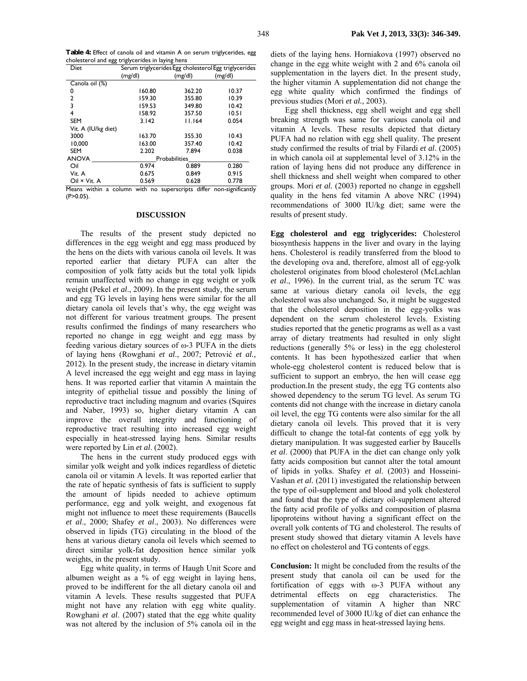**Table 4:** Effect of canola oil and vitamin A on serum triglycerides, egg cholesterol and egg triglycerides in laying hens

| Diet                                                                | Serum triglycerides Egg cholesterol Egg triglycerides |                      |         |  |
|---------------------------------------------------------------------|-------------------------------------------------------|----------------------|---------|--|
|                                                                     | (mg/dl)                                               | (mg/dl)              | (mg/dl) |  |
| Canola oil (%)                                                      |                                                       |                      |         |  |
| 0                                                                   | 160.80                                                | 362.20               | 10.37   |  |
| $\overline{2}$                                                      | 159.30                                                | 355.80               | 10.39   |  |
| 3                                                                   | 159.53                                                | 349.80               | 10.42   |  |
| 4                                                                   | 158.92                                                | 357.50               | 10.51   |  |
| <b>SEM</b>                                                          | 3.142                                                 | 11.164               | 0.054   |  |
| Vit. A (IU/kg diet)                                                 |                                                       |                      |         |  |
| 3000                                                                | 163.70                                                | 355.30               | 10.43   |  |
| 10.000                                                              | 163.00                                                | 357.40               | 10.42   |  |
| <b>SEM</b>                                                          | 2.202                                                 | 7.894                | 0.038   |  |
| <b>ANOVA</b>                                                        |                                                       | <b>Probabilities</b> |         |  |
| Oil                                                                 | 0.974                                                 | 0.889                | 0.280   |  |
| Vit. A                                                              | 0.675                                                 | 0.849                | 0.915   |  |
| Oil × Vit. A                                                        | 0.569                                                 | 0.628                | 0.778   |  |
| Means within a column with no superscripts differ non-significantly |                                                       |                      |         |  |

 $(P>0.05)$ .

#### **DISCUSSION**

The results of the present study depicted no differences in the egg weight and egg mass produced by the hens on the diets with various canola oil levels. It was reported earlier that dietary PUFA can alter the composition of yolk fatty acids but the total yolk lipids remain unaffected with no change in egg weight or yolk weight (Pekel *et al*., 2009). In the present study, the serum and egg TG levels in laying hens were similar for the all dietary canola oil levels that's why, the egg weight was not different for various treatment groups. The present results confirmed the findings of many researchers who reported no change in egg weight and egg mass by feeding various dietary sources of ω-3 PUFA in the diets of laying hens (Rowghani *et al*., 2007; Petrović *et al.,* 2012). In the present study, the increase in dietary vitamin A level increased the egg weight and egg mass in laying hens. It was reported earlier that vitamin A maintain the integrity of epithelial tissue and possibly the lining of reproductive tract including magnum and ovaries (Squires and Naber, 1993) so, higher dietary vitamin A can improve the overall integrity and functioning of reproductive tract resulting into increased egg weight especially in heat-stressed laying hens. Similar results were reported by Lin *et al*. (2002).

The hens in the current study produced eggs with similar yolk weight and yolk indices regardless of dietetic canola oil or vitamin A levels. It was reported earlier that the rate of hepatic synthesis of fats is sufficient to supply the amount of lipids needed to achieve optimum performance, egg and yolk weight, and exogenous fat might not influence to meet these requirements (Baucells *et al*., 2000; Shafey *et al*., 2003). No differences were observed in lipids (TG) circulating in the blood of the hens at various dietary canola oil levels which seemed to direct similar yolk-fat deposition hence similar yolk weights, in the present study.

Egg white quality, in terms of Haugh Unit Score and albumen weight as a % of egg weight in laying hens, proved to be indifferent for the all dietary canola oil and vitamin A levels. These results suggested that PUFA might not have any relation with egg white quality. Rowghani *et al*. (2007) stated that the egg white quality was not altered by the inclusion of 5% canola oil in the

diets of the laying hens. Horniakova (1997) observed no change in the egg white weight with 2 and 6% canola oil supplementation in the layers diet. In the present study, the higher vitamin A supplementation did not change the egg white quality which confirmed the findings of previous studies (Mori *et al.,* 2003).

Egg shell thickness, egg shell weight and egg shell breaking strength was same for various canola oil and vitamin A levels. These results depicted that dietary PUFA had no relation with egg shell quality. The present study confirmed the results of trial by Filardi *et al*. (2005) in which canola oil at supplemental level of 3.12% in the ration of laying hens did not produce any difference in shell thickness and shell weight when compared to other groups. Mori *et al.* (2003) reported no change in eggshell quality in the hens fed vitamin A above NRC (1994) recommendations of 3000 IU/kg diet; same were the results of present study.

**Egg cholesterol and egg triglycerides:** Cholesterol biosynthesis happens in the liver and ovary in the laying hens. Cholesterol is readily transferred from the blood to the developing ova and, therefore, almost all of egg-yolk cholesterol originates from blood cholesterol (McLachlan *et al*., 1996). In the current trial, as the serum TC was same at various dietary canola oil levels, the egg cholesterol was also unchanged. So, it might be suggested that the cholesterol deposition in the egg-yolks was dependent on the serum cholesterol levels. Existing studies reported that the genetic programs as well as a vast array of dietary treatments had resulted in only slight reductions (generally 5% or less) in the egg cholesterol contents. It has been hypothesized earlier that when whole-egg cholesterol content is reduced below that is sufficient to support an embryo, the hen will cease egg production.In the present study, the egg TG contents also showed dependency to the serum TG level. As serum TG contents did not change with the increase in dietary canola oil level, the egg TG contents were also similar for the all dietary canola oil levels. This proved that it is very difficult to change the total-fat contents of egg yolk by dietary manipulation. It was suggested earlier by Baucells *et al*. (2000) that PUFA in the diet can change only yolk fatty acids composition but cannot alter the total amount of lipids in yolks. Shafey *et al*. (2003) and Hosseini-Vashan *et al.* (2011) investigated the relationship between the type of oil-supplement and blood and yolk cholesterol and found that the type of dietary oil-supplement altered the fatty acid profile of yolks and composition of plasma lipoproteins without having a significant effect on the overall yolk contents of TG and cholesterol. The results of present study showed that dietary vitamin A levels have no effect on cholesterol and TG contents of eggs.

**Conclusion:** It might be concluded from the results of the present study that canola oil can be used for the fortification of eggs with ω-3 PUFA without any detrimental effects on egg characteristics. The supplementation of vitamin A higher than NRC recommended level of 3000 IU/kg of diet can enhance the egg weight and egg mass in heat-stressed laying hens.